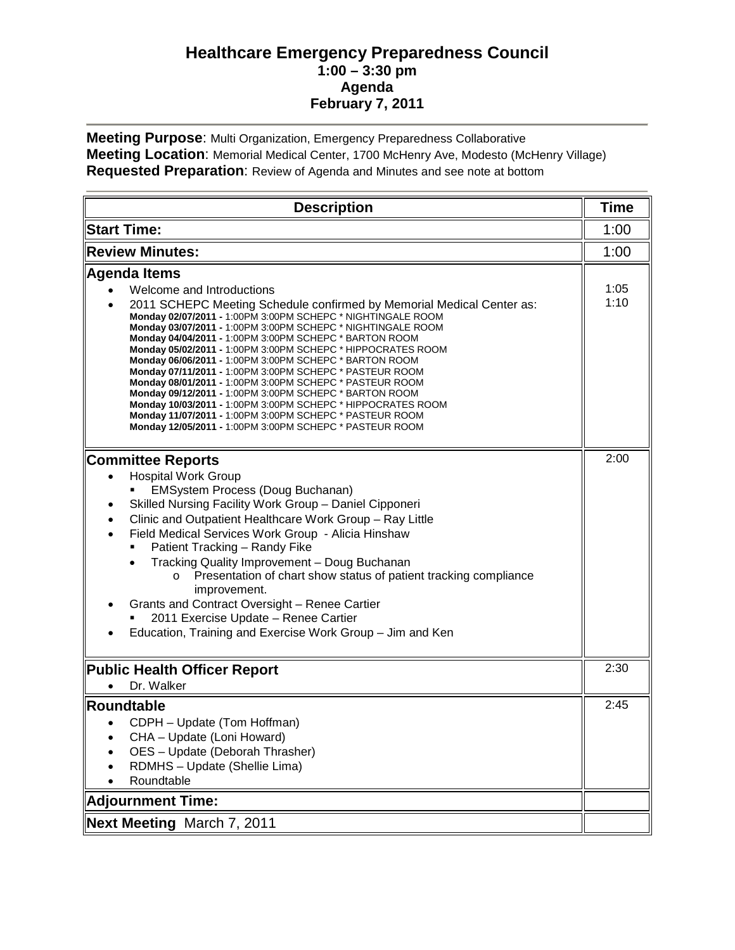## **Healthcare Emergency Preparedness Council 1:00 – 3:30 pm Agenda February 7, 2011**

**Meeting Purpose**: Multi Organization, Emergency Preparedness Collaborative **Meeting Location**: Memorial Medical Center, 1700 McHenry Ave, Modesto (McHenry Village) **Requested Preparation**: Review of Agenda and Minutes and see note at bottom

| <b>Description</b>                                                                                                                                                                                                                                                                                                                                                                                                                                                                                                                                                                                                                                                                                                                                                                                              | <b>Time</b>  |
|-----------------------------------------------------------------------------------------------------------------------------------------------------------------------------------------------------------------------------------------------------------------------------------------------------------------------------------------------------------------------------------------------------------------------------------------------------------------------------------------------------------------------------------------------------------------------------------------------------------------------------------------------------------------------------------------------------------------------------------------------------------------------------------------------------------------|--------------|
| <b>Start Time:</b>                                                                                                                                                                                                                                                                                                                                                                                                                                                                                                                                                                                                                                                                                                                                                                                              | 1:00         |
| <b>Review Minutes:</b>                                                                                                                                                                                                                                                                                                                                                                                                                                                                                                                                                                                                                                                                                                                                                                                          | 1:00         |
| <b>Agenda Items</b><br>Welcome and Introductions<br>2011 SCHEPC Meeting Schedule confirmed by Memorial Medical Center as:<br>Monday 02/07/2011 - 1:00PM 3:00PM SCHEPC * NIGHTINGALE ROOM<br>Monday 03/07/2011 - 1:00PM 3:00PM SCHEPC * NIGHTINGALE ROOM<br>Monday 04/04/2011 - 1:00PM 3:00PM SCHEPC * BARTON ROOM<br>Monday 05/02/2011 - 1:00PM 3:00PM SCHEPC * HIPPOCRATES ROOM<br>Monday 06/06/2011 - 1:00PM 3:00PM SCHEPC * BARTON ROOM<br>Monday 07/11/2011 - 1:00PM 3:00PM SCHEPC * PASTEUR ROOM<br>Monday 08/01/2011 - 1:00PM 3:00PM SCHEPC * PASTEUR ROOM<br>Monday 09/12/2011 - 1:00PM 3:00PM SCHEPC * BARTON ROOM<br>Monday 10/03/2011 - 1:00PM 3:00PM SCHEPC * HIPPOCRATES ROOM<br>Monday 11/07/2011 - 1:00PM 3:00PM SCHEPC * PASTEUR ROOM<br>Monday 12/05/2011 - 1:00PM 3:00PM SCHEPC * PASTEUR ROOM | 1:05<br>1:10 |
| <b>Committee Reports</b><br><b>Hospital Work Group</b><br><b>EMSystem Process (Doug Buchanan)</b><br>Skilled Nursing Facility Work Group - Daniel Cipponeri<br>Clinic and Outpatient Healthcare Work Group - Ray Little<br>Field Medical Services Work Group - Alicia Hinshaw<br>Patient Tracking - Randy Fike<br>Tracking Quality Improvement - Doug Buchanan<br>Presentation of chart show status of patient tracking compliance<br>$\circ$<br>improvement.<br>Grants and Contract Oversight - Renee Cartier<br>2011 Exercise Update - Renee Cartier<br>Education, Training and Exercise Work Group - Jim and Ken                                                                                                                                                                                             | 2:00         |
| <b>Public Health Officer Report</b><br>Dr. Walker<br>$\bullet$                                                                                                                                                                                                                                                                                                                                                                                                                                                                                                                                                                                                                                                                                                                                                  | 2:30         |
| Roundtable<br>CDPH - Update (Tom Hoffman)<br>CHA - Update (Loni Howard)<br>OES - Update (Deborah Thrasher)<br>RDMHS - Update (Shellie Lima)<br>Roundtable<br><b>Adjournment Time:</b>                                                                                                                                                                                                                                                                                                                                                                                                                                                                                                                                                                                                                           | 2:45         |
| <b>Next Meeting March 7, 2011</b>                                                                                                                                                                                                                                                                                                                                                                                                                                                                                                                                                                                                                                                                                                                                                                               |              |